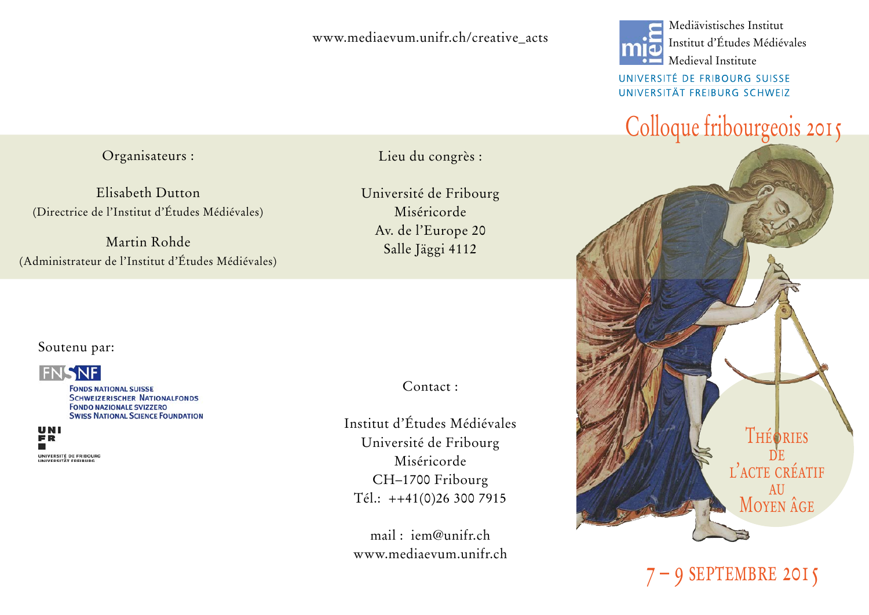### www.mediaevum.unifr.ch/creative\_acts

Organisateurs :

Elisabeth Dutton (Directrice de l'Institut d'Études Médiévales)

Martin Rohde (Administrateur de l'Institut d'Études Médiévales) Lieu du congrès :

Université de Fribourg Miséricorde Av. de l'Europe 20 Salle Jäggi 4112

Soutenu par:



**FONDS NATIONAL SUISSE SCHWEIZERISCHER NATIONALFONDS FONDO NAZIONALE SVIZZERO SWISS NATIONAL SCIENCE FOUNDATION** 

UNI FR UNIVERSITÉ DE ERIBOURG **UNIVERSITÄT EDEIBUR** 

Contact :

Institut d'Études Médiévales Université de Fribourg Miséricorde CH–1700 Fribourg Tél.: ++41(0)26 300 7915

 $mail \cdot iem@unifrch$ www.mediaevum.unifr.ch



 Institut d'Études Médiévales Medieval Institute

UNIVERSITÉ DE FRIBOURG SUISSE UNIVERSITÄT FREIBURG SCHWEIZ

# Colloque fribourgeois 2015



9 SEPTEMBRE 2015